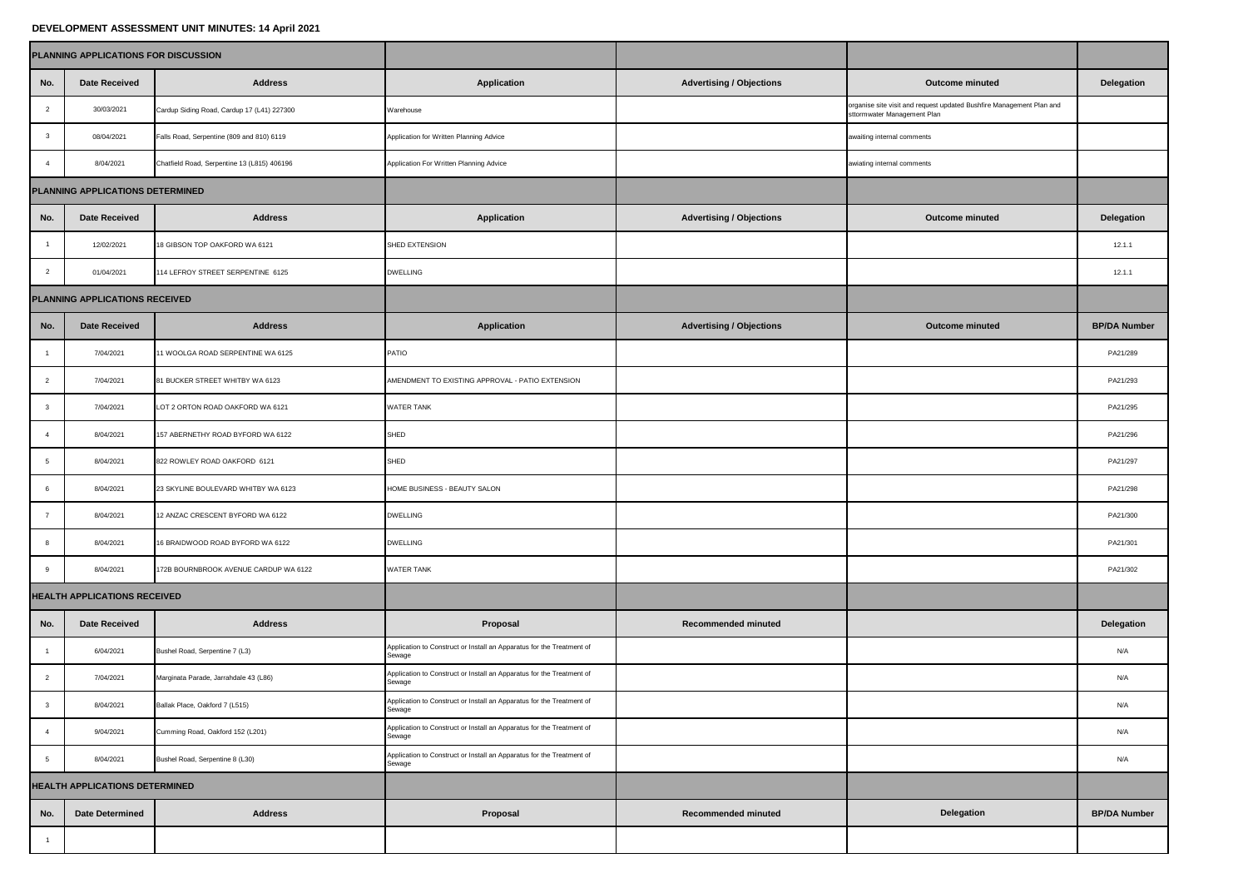|                                       | PLANNING APPLICATIONS FOR DISCUSSION |                                             |                                                                                 |                                 |                                                                                                     |                     |
|---------------------------------------|--------------------------------------|---------------------------------------------|---------------------------------------------------------------------------------|---------------------------------|-----------------------------------------------------------------------------------------------------|---------------------|
| No.                                   | <b>Date Received</b>                 | <b>Address</b>                              | Application                                                                     | <b>Advertising / Objections</b> | <b>Outcome minuted</b>                                                                              | Delegation          |
| $\overline{2}$                        | 30/03/2021                           | Cardup Siding Road, Cardup 17 (L41) 227300  | Warehouse                                                                       |                                 | organise site visit and request updated Bushfire Management Plan and<br>sttormwater Management Plan |                     |
| $\mathbf{3}$                          | 08/04/2021                           | Falls Road, Serpentine (809 and 810) 6119   | Application for Written Planning Advice                                         |                                 | awaiting internal comments                                                                          |                     |
| $\overline{4}$                        | 8/04/2021                            | Chatfield Road, Serpentine 13 (L815) 406196 | Application For Written Planning Advice                                         |                                 | awiating internal comments                                                                          |                     |
| PLANNING APPLICATIONS DETERMINED      |                                      |                                             |                                                                                 |                                 |                                                                                                     |                     |
| No.                                   | Date Received                        | <b>Address</b>                              | Application                                                                     | <b>Advertising / Objections</b> | <b>Outcome minuted</b>                                                                              | Delegation          |
| $\overline{1}$                        | 12/02/2021                           | <b>8 GIBSON TOP OAKFORD WA 6121</b>         | SHED EXTENSION                                                                  |                                 |                                                                                                     | 12.1.1              |
| $\overline{2}$                        | 01/04/2021                           | 14 LEFROY STREET SERPENTINE 6125            | <b>DWELLING</b>                                                                 |                                 |                                                                                                     | 12.1.1              |
|                                       | PLANNING APPLICATIONS RECEIVED       |                                             |                                                                                 |                                 |                                                                                                     |                     |
| No.                                   | <b>Date Received</b>                 | <b>Address</b>                              | Application                                                                     | <b>Advertising / Objections</b> | <b>Outcome minuted</b>                                                                              | <b>BP/DA Number</b> |
|                                       | 7/04/2021                            | 11 WOOLGA ROAD SERPENTINE WA 6125           | PATIO                                                                           |                                 |                                                                                                     | PA21/289            |
| $\overline{2}$                        | 7/04/2021                            | 81 BUCKER STREET WHITBY WA 6123             | AMENDMENT TO EXISTING APPROVAL - PATIO EXTENSION                                |                                 |                                                                                                     | PA21/293            |
| $\mathbf{3}$                          | 7/04/2021                            | LOT 2 ORTON ROAD OAKFORD WA 6121            | WATER TANK                                                                      |                                 |                                                                                                     | PA21/295            |
| $\overline{4}$                        | 8/04/2021                            | 157 ABERNETHY ROAD BYFORD WA 6122           | <b>SHED</b>                                                                     |                                 |                                                                                                     | PA21/296            |
| 5                                     | 8/04/2021                            | 822 ROWLEY ROAD OAKFORD 6121                | SHED                                                                            |                                 |                                                                                                     | PA21/297            |
| 6                                     | 8/04/2021                            | 23 SKYLINE BOULEVARD WHITBY WA 6123         | HOME BUSINESS - BEAUTY SALON                                                    |                                 |                                                                                                     | PA21/298            |
| $\overline{7}$                        | 8/04/2021                            | 12 ANZAC CRESCENT BYFORD WA 6122            | <b>DWELLING</b>                                                                 |                                 |                                                                                                     | PA21/300            |
|                                       | 8/04/2021                            | 6 BRAIDWOOD ROAD BYFORD WA 6122             | <b>DWELLING</b>                                                                 |                                 |                                                                                                     | PA21/301            |
| 9                                     | 8/04/2021                            | 172B BOURNBROOK AVENUE CARDUP WA 6122       | <b>WATER TANK</b>                                                               |                                 |                                                                                                     | PA21/302            |
|                                       | <b>HEALTH APPLICATIONS RECEIVED</b>  |                                             |                                                                                 |                                 |                                                                                                     |                     |
| No.                                   | <b>Date Received</b>                 | <b>Address</b>                              | Proposal                                                                        | <b>Recommended minuted</b>      |                                                                                                     | Delegation          |
|                                       | 6/04/2021                            | Bushel Road, Serpentine 7 (L3)              | Application to Construct or Install an Apparatus for the Treatment of<br>sewage |                                 |                                                                                                     | N/A                 |
| $\overline{2}$                        | 7/04/2021                            | Marginata Parade, Jarrahdale 43 (L86)       | Application to Construct or Install an Apparatus for the Treatment of<br>Sewage |                                 |                                                                                                     | N/A                 |
|                                       | 8/04/2021                            | Ballak Place, Oakford 7 (L515)              | Application to Construct or Install an Apparatus for the Treatment of<br>Sewage |                                 |                                                                                                     | N/A                 |
| $\overline{4}$                        | 9/04/2021                            | Cumming Road, Oakford 152 (L201)            | Application to Construct or Install an Apparatus for the Treatment of<br>Sewage |                                 |                                                                                                     | N/A                 |
| 5                                     | 8/04/2021                            | Bushel Road, Serpentine 8 (L30)             | Application to Construct or Install an Apparatus for the Treatment of<br>Sewage |                                 |                                                                                                     | N/A                 |
| <b>HEALTH APPLICATIONS DETERMINED</b> |                                      |                                             |                                                                                 |                                 |                                                                                                     |                     |
| No.                                   | Date Determined                      | <b>Address</b>                              | Proposal                                                                        | Recommended minuted             | Delegation                                                                                          | <b>BP/DA Number</b> |
| $\overline{1}$                        |                                      |                                             |                                                                                 |                                 |                                                                                                     |                     |